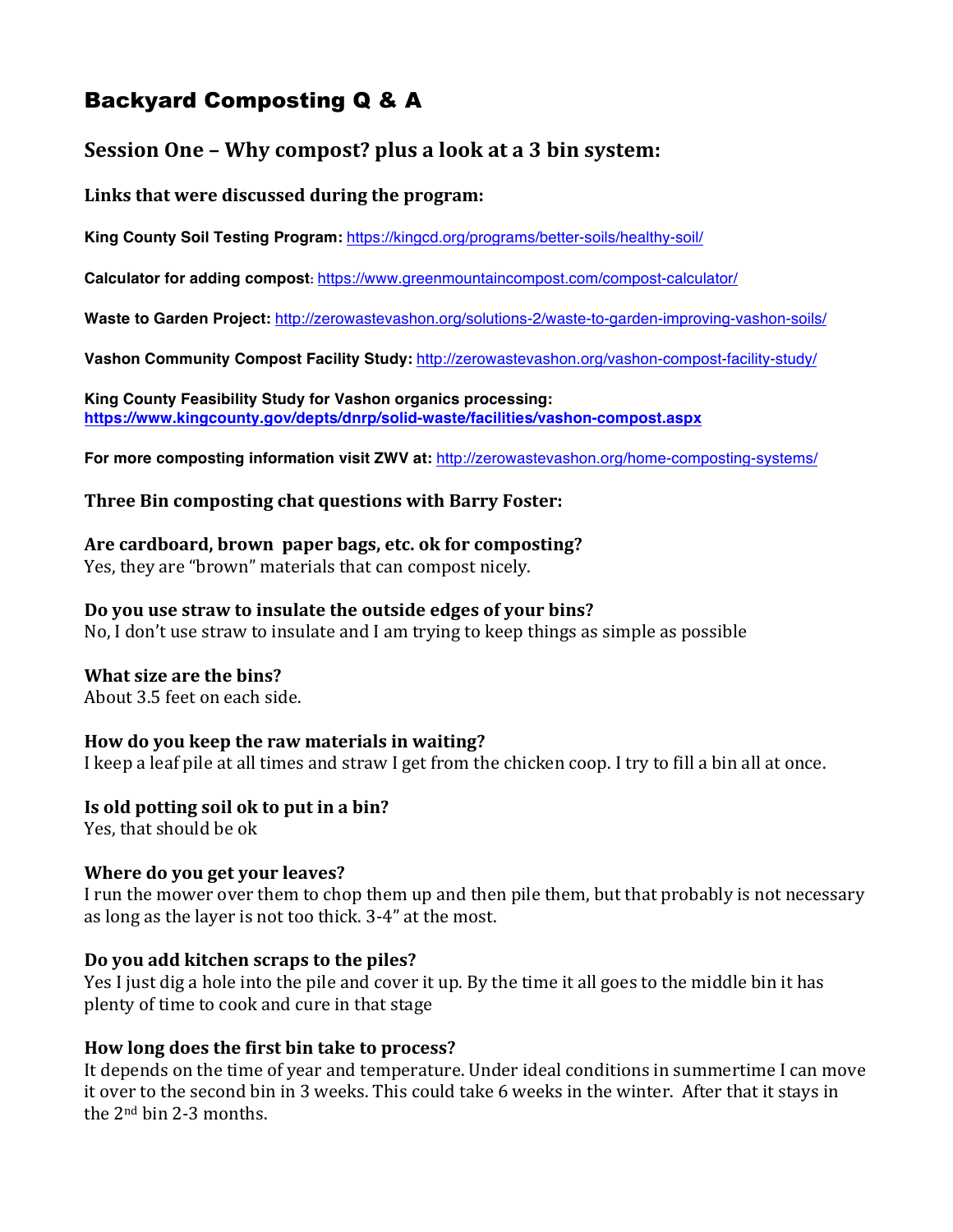# Backyard Composting Q & A

# **Session One - Why compost? plus a look at a 3 bin system:**

# Links that were discussed during the program:

**King County Soil Testing Program:** https://kingcd.org/programs/better-soils/healthy-soil/

**Calculator for adding compost:** https://www.greenmountaincompost.com/compost-calculator/

**Waste to Garden Project:** http://zerowastevashon.org/solutions-2/waste-to-garden-improving-vashon-soils/

**Vashon Community Compost Facility Study:** http://zerowastevashon.org/vashon-compost-facility-study/

**King County Feasibility Study for Vashon organics processing: https://www.kingcounty.gov/depts/dnrp/solid-waste/facilities/vashon-compost.aspx**

**For more composting information visit ZWV at:** http://zerowastevashon.org/home-composting-systems/

#### **Three Bin composting chat questions with Barry Foster:**

#### Are cardboard, brown paper bags, etc. ok for composting?

Yes, they are "brown" materials that can compost nicely.

# Do you use straw to insulate the outside edges of your bins?

No, I don't use straw to insulate and I am trying to keep things as simple as possible

#### **What size are the bins?**

About 3.5 feet on each side.

#### How do you keep the raw materials in waiting?

I keep a leaf pile at all times and straw I get from the chicken coop. I try to fill a bin all at once.

#### **Is old potting soil ok to put in a bin?**

Yes, that should be ok

#### **Where do you get your leaves?**

I run the mower over them to chop them up and then pile them, but that probably is not necessary as long as the layer is not too thick. 3-4" at the most.

#### Do you add kitchen scraps to the piles?

Yes I just dig a hole into the pile and cover it up. By the time it all goes to the middle bin it has plenty of time to cook and cure in that stage

#### **How long does the first bin take to process?**

It depends on the time of year and temperature. Under ideal conditions in summertime I can move it over to the second bin in 3 weeks. This could take 6 weeks in the winter. After that it stays in the  $2<sup>nd</sup>$  bin 2-3 months.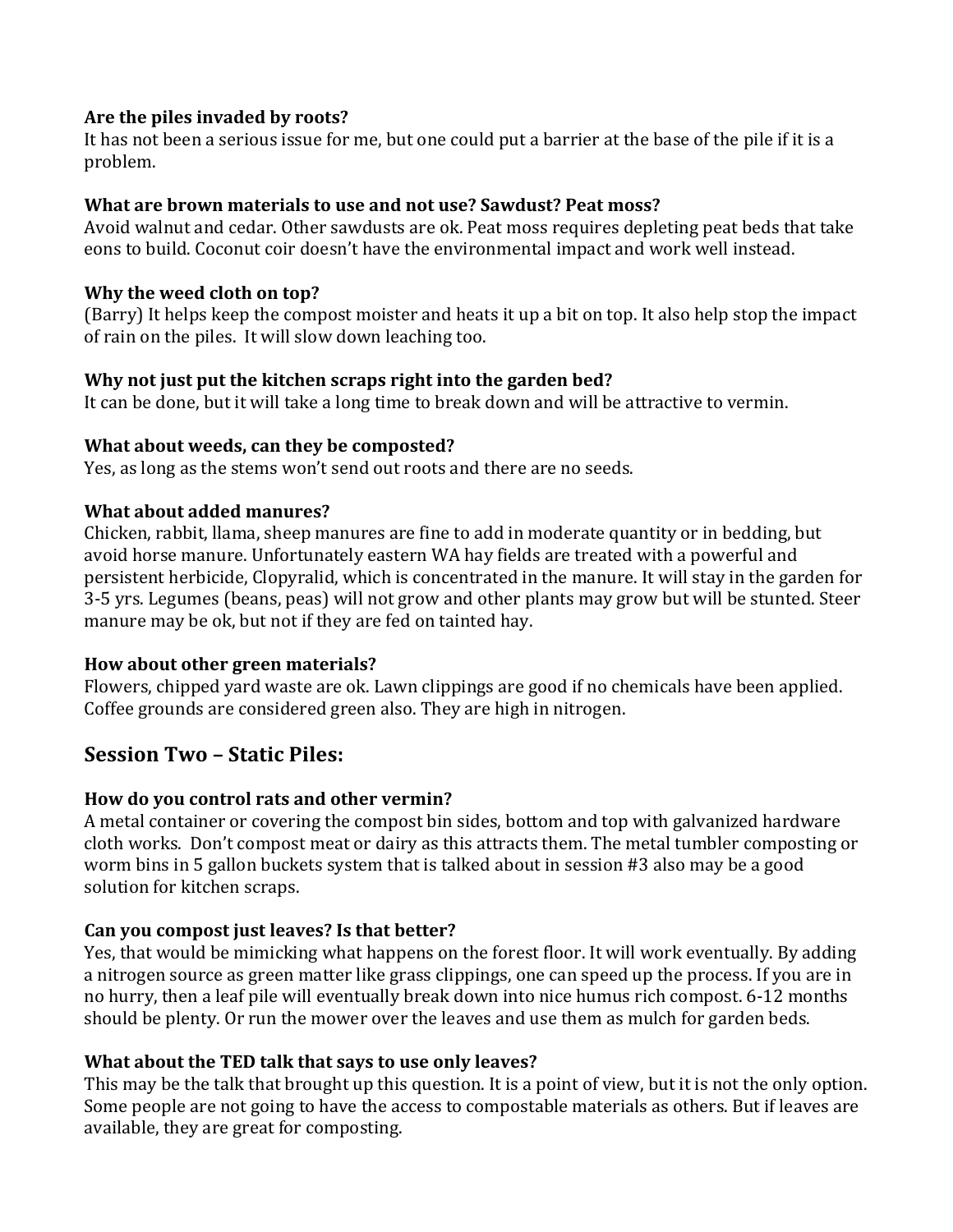# Are the piles invaded by roots?

It has not been a serious issue for me, but one could put a barrier at the base of the pile if it is a problem.

# **What are brown materials to use and not use? Sawdust? Peat moss?**

Avoid walnut and cedar. Other sawdusts are ok. Peat moss requires depleting peat beds that take eons to build. Coconut coir doesn't have the environmental impact and work well instead.

# **Why the weed cloth on top?**

(Barry) It helps keep the compost moister and heats it up a bit on top. It also help stop the impact of rain on the piles. It will slow down leaching too.

# **Why not just put the kitchen scraps right into the garden bed?**

It can be done, but it will take a long time to break down and will be attractive to vermin.

#### **What about weeds, can they be composted?**

Yes, as long as the stems won't send out roots and there are no seeds.

# **What about added manures?**

Chicken, rabbit, llama, sheep manures are fine to add in moderate quantity or in bedding, but avoid horse manure. Unfortunately eastern WA hay fields are treated with a powerful and persistent herbicide, Clopyralid, which is concentrated in the manure. It will stay in the garden for 3-5 yrs. Legumes (beans, peas) will not grow and other plants may grow but will be stunted. Steer manure may be ok, but not if they are fed on tainted hay.

#### **How about other green materials?**

Flowers, chipped yard waste are ok. Lawn clippings are good if no chemicals have been applied. Coffee grounds are considered green also. They are high in nitrogen.

# **Session Two – Static Piles:**

# How do you control rats and other vermin?

A metal container or covering the compost bin sides, bottom and top with galvanized hardware cloth works. Don't compost meat or dairy as this attracts them. The metal tumbler composting or worm bins in 5 gallon buckets system that is talked about in session #3 also may be a good solution for kitchen scraps.

# Can you compost just leaves? Is that better?

Yes, that would be mimicking what happens on the forest floor. It will work eventually. By adding a nitrogen source as green matter like grass clippings, one can speed up the process. If you are in no hurry, then a leaf pile will eventually break down into nice humus rich compost. 6-12 months should be plenty. Or run the mower over the leaves and use them as mulch for garden beds.

# **What about the TED talk that says to use only leaves?**

This may be the talk that brought up this question. It is a point of view, but it is not the only option. Some people are not going to have the access to compostable materials as others. But if leaves are available, they are great for composting.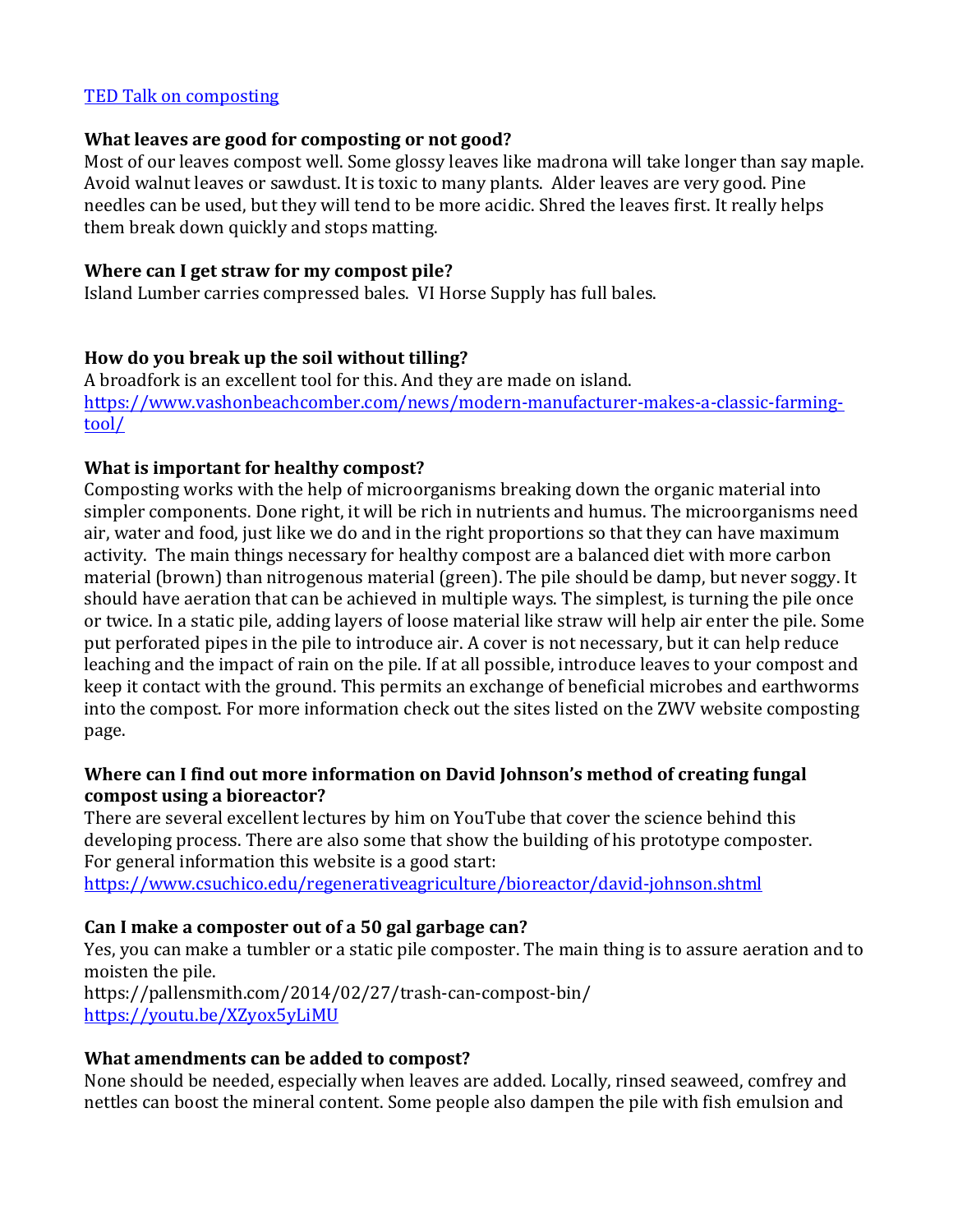#### TED Talk on composting

#### **What leaves are good for composting or not good?**

Most of our leaves compost well. Some glossy leaves like madrona will take longer than say maple. Avoid walnut leaves or sawdust. It is toxic to many plants. Alder leaves are very good. Pine needles can be used, but they will tend to be more acidic. Shred the leaves first. It really helps them break down quickly and stops matting.

# **Where can I get straw for my compost pile?**

Island Lumber carries compressed bales. VI Horse Supply has full bales.

# How do you break up the soil without tilling?

A broadfork is an excellent tool for this. And they are made on island. https://www.vashonbeachcomber.com/news/modern-manufacturer-makes-a-classic-farmingtool/

# **What is important for healthy compost?**

Composting works with the help of microorganisms breaking down the organic material into simpler components. Done right, it will be rich in nutrients and humus. The microorganisms need air, water and food, just like we do and in the right proportions so that they can have maximum activity. The main things necessary for healthy compost are a balanced diet with more carbon material (brown) than nitrogenous material (green). The pile should be damp, but never soggy. It should have aeration that can be achieved in multiple ways. The simplest, is turning the pile once or twice. In a static pile, adding layers of loose material like straw will help air enter the pile. Some put perforated pipes in the pile to introduce air. A cover is not necessary, but it can help reduce leaching and the impact of rain on the pile. If at all possible, introduce leaves to your compost and keep it contact with the ground. This permits an exchange of beneficial microbes and earthworms into the compost. For more information check out the sites listed on the ZWV website composting page. 

# Where can I find out more information on David Johnson's method of creating fungal **compost using a bioreactor?**

There are several excellent lectures by him on YouTube that cover the science behind this developing process. There are also some that show the building of his prototype composter. For general information this website is a good start:

https://www.csuchico.edu/regenerativeagriculture/bioreactor/david-johnson.shtml

# Can I make a composter out of a 50 gal garbage can?

Yes, you can make a tumbler or a static pile composter. The main thing is to assure aeration and to moisten the pile. https://pallensmith.com/2014/02/27/trash-can-compost-bin/ https://youtu.be/XZyox5yLiMU

# **What amendments can be added to compost?**

None should be needed, especially when leaves are added. Locally, rinsed seaweed, comfrey and nettles can boost the mineral content. Some people also dampen the pile with fish emulsion and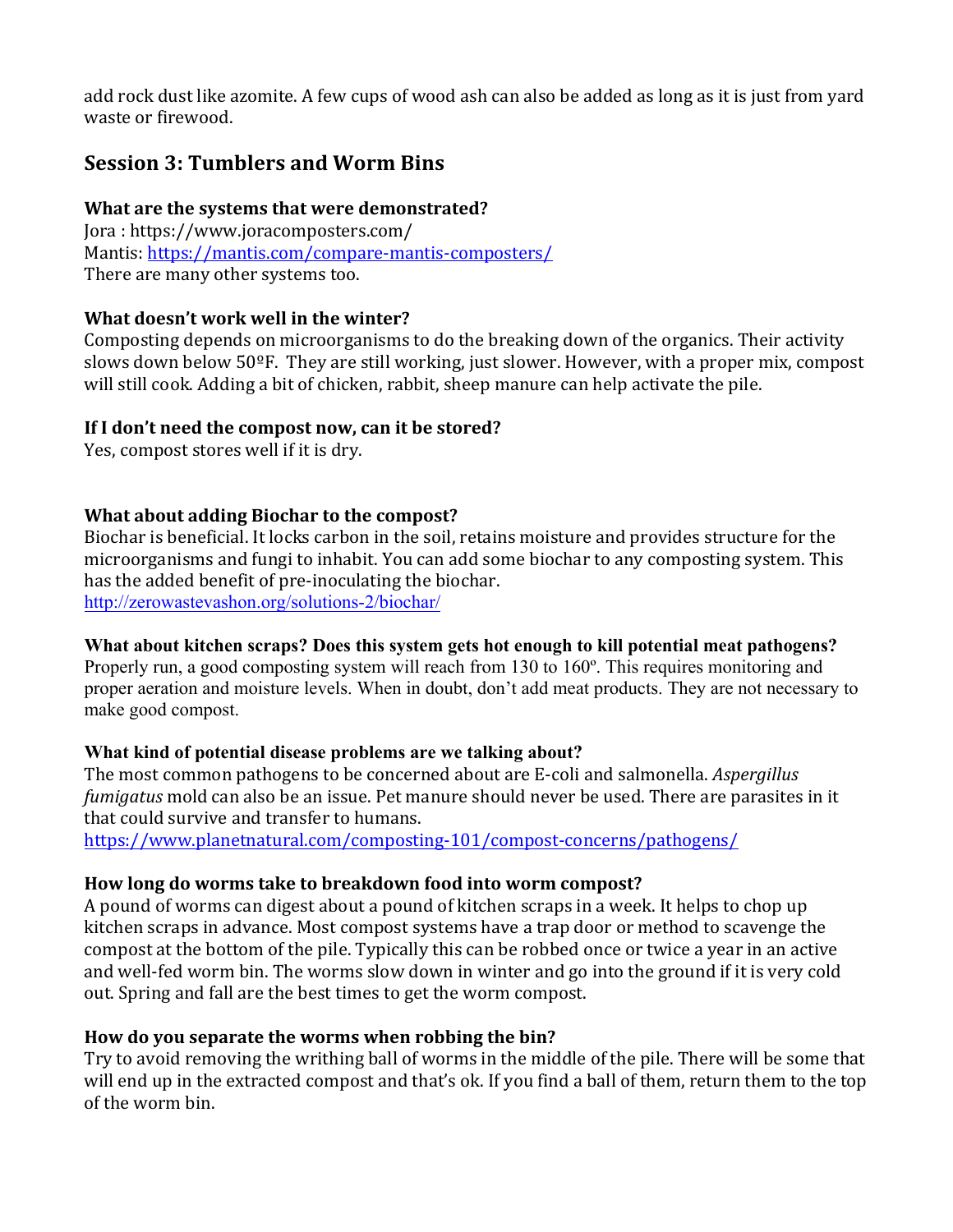add rock dust like azomite. A few cups of wood ash can also be added as long as it is just from vard waste or firewood.

# **Session 3: Tumblers and Worm Bins**

# **What are the systems that were demonstrated?**

Jora: https://www.joracomposters.com/ Mantis: https://mantis.com/compare-mantis-composters/ There are many other systems too.

# **What doesn't work well in the winter?**

Composting depends on microorganisms to do the breaking down of the organics. Their activity slows down below  $50^{\circ}$ F. They are still working, just slower. However, with a proper mix, compost will still cook. Adding a bit of chicken, rabbit, sheep manure can help activate the pile.

# If I don't need the compost now, can it be stored?

Yes, compost stores well if it is dry.

# **What about adding Biochar to the compost?**

Biochar is beneficial. It locks carbon in the soil, retains moisture and provides structure for the microorganisms and fungi to inhabit. You can add some biochar to any composting system. This has the added benefit of pre-inoculating the biochar. http://zerowastevashon.org/solutions-2/biochar/

# **What about kitchen scraps? Does this system gets hot enough to kill potential meat pathogens?**

Properly run, a good composting system will reach from 130 to 160º. This requires monitoring and proper aeration and moisture levels. When in doubt, don't add meat products. They are not necessary to make good compost.

#### **What kind of potential disease problems are we talking about?**

The most common pathogens to be concerned about are E-coli and salmonella. *Aspergillus fumigatus* mold can also be an issue. Pet manure should never be used. There are parasites in it that could survive and transfer to humans.

https://www.planetnatural.com/composting-101/compost-concerns/pathogens/

# How long do worms take to breakdown food into worm compost?

A pound of worms can digest about a pound of kitchen scraps in a week. It helps to chop up kitchen scraps in advance. Most compost systems have a trap door or method to scavenge the compost at the bottom of the pile. Typically this can be robbed once or twice a year in an active and well-fed worm bin. The worms slow down in winter and go into the ground if it is very cold out. Spring and fall are the best times to get the worm compost.

# How do you separate the worms when robbing the bin?

Try to avoid removing the writhing ball of worms in the middle of the pile. There will be some that will end up in the extracted compost and that's ok. If you find a ball of them, return them to the top of the worm bin.